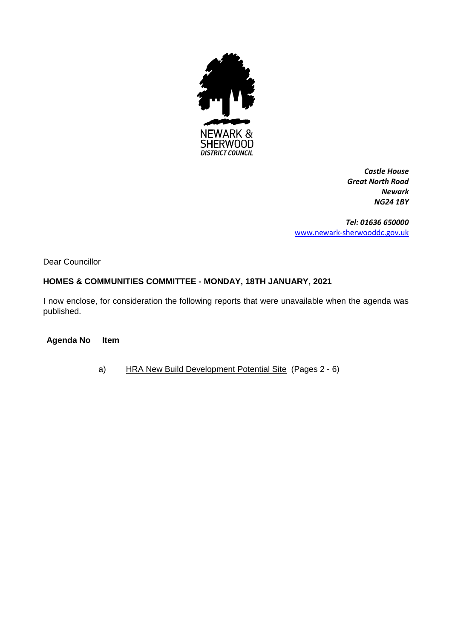

*Castle House Great North Road Newark NG24 1BY*

*Tel: 01636 650000* [www.newark-sherwooddc.gov.uk](http://www.newark-sherwooddc.gov.uk/)

Dear Councillor

# **HOMES & COMMUNITIES COMMITTEE - MONDAY, 18TH JANUARY, 2021**

I now enclose, for consideration the following reports that were unavailable when the agenda was published.

**Agenda No Item**

a) HRA New Build Development Potential Site (Pages 2 - 6)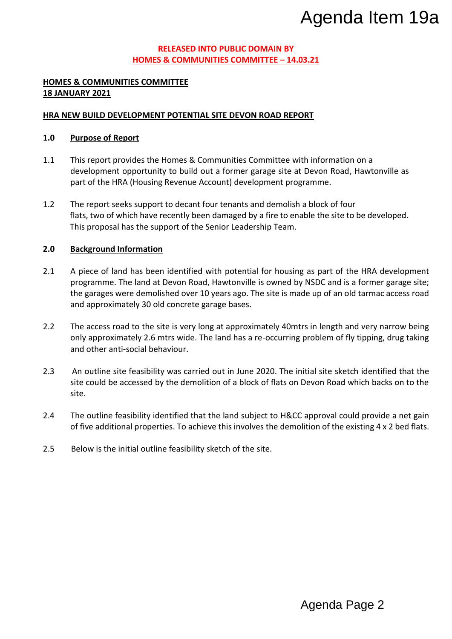#### **RELEASED INTO PUBLIC DOMAIN BY HOMES & COMMUNITIES COMMITTEE – 14.03.21**

## **HOMES & COMMUNITIES COMMITTEE 18 JANUARY 2021**

## **HRA NEW BUILD DEVELOPMENT POTENTIAL SITE DEVON ROAD REPORT**

## **1.0 Purpose of Report**

- 1.1 This report provides the Homes & Communities Committee with information on a development opportunity to build out a former garage site at Devon Road, Hawtonville as part of the HRA (Housing Revenue Account) development programme.
- 1.2 The report seeks support to decant four tenants and demolish a block of four flats, two of which have recently been damaged by a fire to enable the site to be developed. This proposal has the support of the Senior Leadership Team.

## **2.0 Background Information**

- 2.1 A piece of land has been identified with potential for housing as part of the HRA development programme. The land at Devon Road, Hawtonville is owned by NSDC and is a former garage site; the garages were demolished over 10 years ago. The site is made up of an old tarmac access road and approximately 30 old concrete garage bases. Agenda Item 19a<br>
Mazza<br>
DRI<br>
DRI<br>
DRI<br>
DRI<br>
DRI<br>
DRI<br>
DRI<br>
A block of four<br>
A block of four<br>
A block of four<br>
A ble the site to be developed.<br>
A space and the HRA development<br>
NNSDC and is a former garage site;<br>
de up of a
- 2.2 The access road to the site is very long at approximately 40mtrs in length and very narrow being only approximately 2.6 mtrs wide. The land has a re-occurring problem of fly tipping, drug taking and other anti-social behaviour.
- 2.3 An outline site feasibility was carried out in June 2020. The initial site sketch identified that the site could be accessed by the demolition of a block of flats on Devon Road which backs on to the site.
- 2.4 The outline feasibility identified that the land subject to H&CC approval could provide a net gain of five additional properties. To achieve this involves the demolition of the existing 4 x 2 bed flats.
- 2.5 Below is the initial outline feasibility sketch of the site.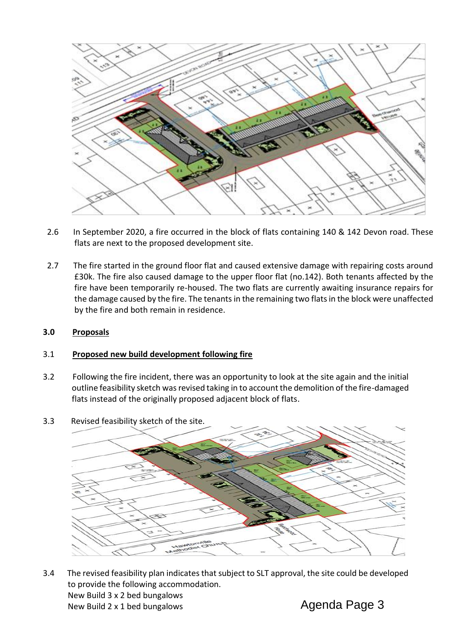

- 2.6 In September 2020, a fire occurred in the block of flats containing 140 & 142 Devon road. These flats are next to the proposed development site.
- 2.7 The fire started in the ground floor flat and caused extensive damage with repairing costs around £30k. The fire also caused damage to the upper floor flat (no.142). Both tenants affected by the fire have been temporarily re-housed. The two flats are currently awaiting insurance repairs for the damage caused by the fire. The tenants in the remaining two flats in the block were unaffected by the fire and both remain in residence.

## **3.0 Proposals**

#### 3.1 **Proposed new build development following fire**

- 3.2 Following the fire incident, there was an opportunity to look at the site again and the initial outline feasibility sketch was revised taking in to account the demolition of the fire-damaged flats instead of the originally proposed adjacent block of flats.
- 3.3 Revised feasibility sketch of the site.



3.4 The revised feasibility plan indicates that subject to SLT approval, the site could be developed to provide the following accommodation. New Build 3 x 2 bed bungalows New Build 2 x 1 bed bungalows Agenda Page 3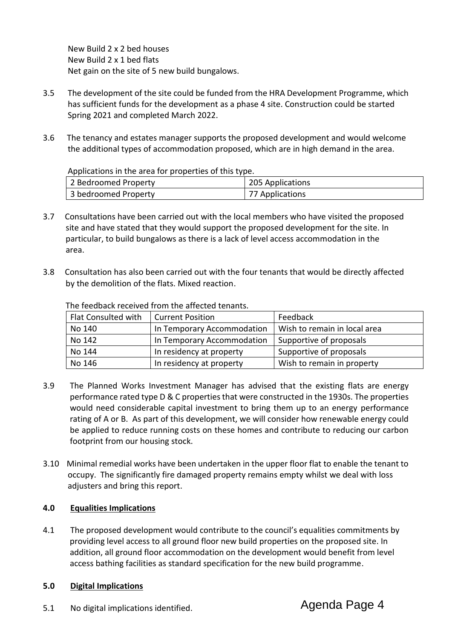New Build 2 x 2 bed houses New Build 2 x 1 bed flats Net gain on the site of 5 new build bungalows.

- 3.5 The development of the site could be funded from the HRA Development Programme, which has sufficient funds for the development as a phase 4 site. Construction could be started Spring 2021 and completed March 2022.
- 3.6 The tenancy and estates manager supports the proposed development and would welcome the additional types of accommodation proposed, which are in high demand in the area.

Applications in the area for properties of this type.

| 2 Bedroomed Property | 205 Applications |
|----------------------|------------------|
| 3 bedroomed Property | 77 Applications  |

- 3.7 Consultations have been carried out with the local members who have visited the proposed site and have stated that they would support the proposed development for the site. In particular, to build bungalows as there is a lack of level access accommodation in the area.
- 3.8 Consultation has also been carried out with the four tenants that would be directly affected by the demolition of the flats. Mixed reaction.

| Flat Consulted with | <b>Current Position</b>    | Feedback                     |
|---------------------|----------------------------|------------------------------|
| No 140              | In Temporary Accommodation | Wish to remain in local area |
| No 142              | In Temporary Accommodation | Supportive of proposals      |
| No 144              | In residency at property   | Supportive of proposals      |
| No 146              | In residency at property   | Wish to remain in property   |

The feedback received from the affected tenants.

- 3.9 The Planned Works Investment Manager has advised that the existing flats are energy performance rated type D & C properties that were constructed in the 1930s. The properties would need considerable capital investment to bring them up to an energy performance rating of A or B. As part of this development, we will consider how renewable energy could be applied to reduce running costs on these homes and contribute to reducing our carbon footprint from our housing stock.
- 3.10 Minimal remedial works have been undertaken in the upper floor flat to enable the tenant to occupy. The significantly fire damaged property remains empty whilst we deal with loss adjusters and bring this report.

## **4.0 Equalities Implications**

4.1 The proposed development would contribute to the council's equalities commitments by providing level access to all ground floor new build properties on the proposed site. In addition, all ground floor accommodation on the development would benefit from level access bathing facilities as standard specification for the new build programme.

## **5.0 Digital Implications**

5.1 No digital implications identified.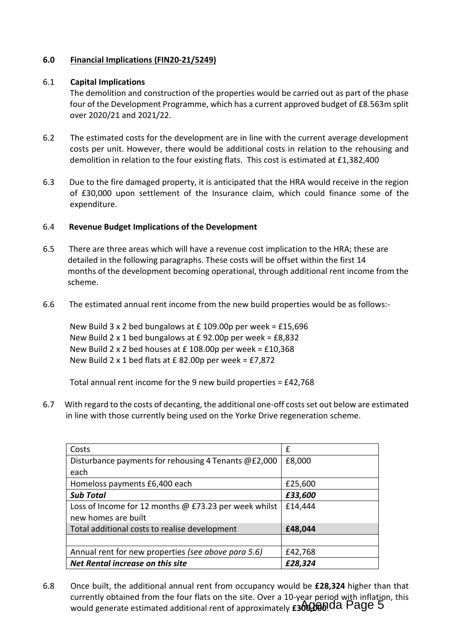## **6.0 Financial Implications (FIN20-21/5249)**

#### 6.1 **Capital Implications**

The demolition and construction of the properties would be carried out as part of the phase four of the Development Programme, which has a current approved budget of £8.563m split over 2020/21 and 2021/22.

- 6.2 The estimated costs for the development are in line with the current average development costs per unit. However, there would be additional costs in relation to the rehousing and demolition in relation to the four existing flats. This cost is estimated at £1,382,400
- 6.3 Due to the fire damaged property, it is anticipated that the HRA would receive in the region of £30,000 upon settlement of the Insurance claim, which could finance some of the expenditure.

## 6.4 **Revenue Budget Implications of the Development**

- 6.5 There are three areas which will have a revenue cost implication to the HRA; these are detailed in the following paragraphs. These costs will be offset within the first 14 months of the development becoming operational, through additional rent income from the scheme.
- 6.6 The estimated annual rent income from the new build properties would be as follows:-

 New Build 3 x 2 bed bungalows at £ 109.00p per week = £15,696 New Build 2 x 1 bed bungalows at  $E$  92.00p per week =  $E$ 8,832 New Build 2 x 2 bed houses at £ 108.00p per week = £10,368 New Build 2 x 1 bed flats at  $E$  82.00p per week = £7,872

Total annual rent income for the 9 new build properties = £42,768

6.7 With regard to the costs of decanting, the additional one-off costs set out below are estimated in line with those currently being used on the Yorke Drive regeneration scheme.

| Costs                                                 | f       |
|-------------------------------------------------------|---------|
| Disturbance payments for rehousing 4 Tenants @£2,000  | £8,000  |
| each                                                  |         |
| Homeloss payments £6,400 each                         | £25,600 |
| <b>Sub Total</b>                                      | £33,600 |
| Loss of Income for 12 months @ £73.23 per week whilst | £14,444 |
| new homes are built                                   |         |
| Total additional costs to realise development         | £48,044 |
|                                                       |         |
| Annual rent for new properties (see above para 5.6)   | £42,768 |
| Net Rental increase on this site                      | £28,324 |

6.8 Once built, the additional annual rent from occupancy would be **£28,324** higher than that currently obtained from the four flats on the site. Over a 10-year period with inflation, this would generate estimated additional rent of approximately **£300,000** OA Page 5